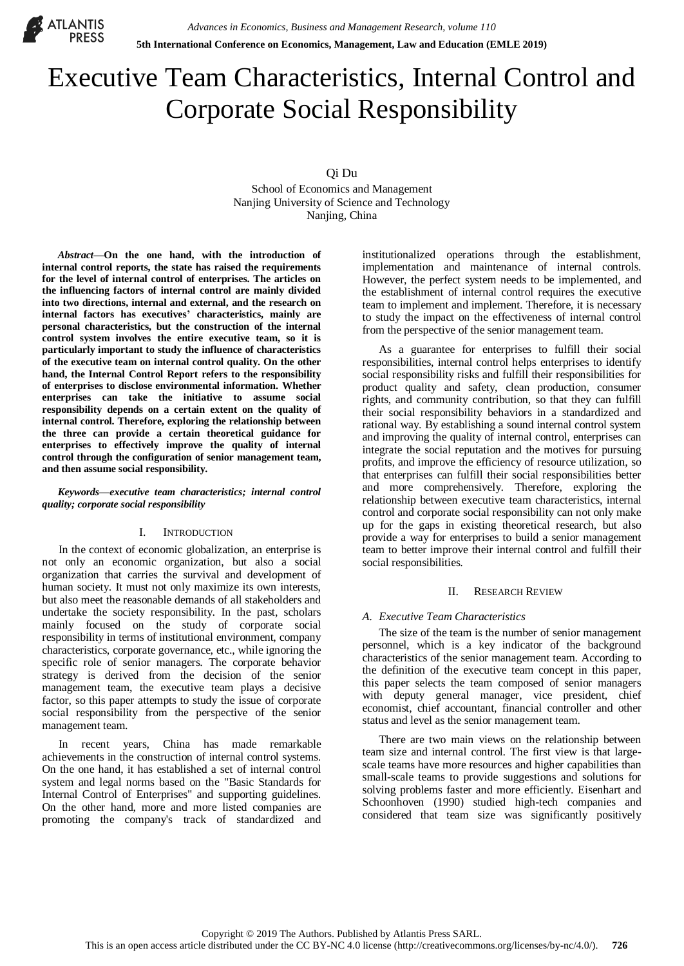

# Executive Team Characteristics, Internal Control and Corporate Social Responsibility

Qi Du

School of Economics and Management Nanjing University of Science and Technology Nanjing, China

*Abstract***—On the one hand, with the introduction of internal control reports, the state has raised the requirements for the level of internal control of enterprises. The articles on the influencing factors of internal control are mainly divided into two directions, internal and external, and the research on internal factors has executives' characteristics, mainly are personal characteristics, but the construction of the internal control system involves the entire executive team, so it is particularly important to study the influence of characteristics of the executive team on internal control quality. On the other hand, the Internal Control Report refers to the responsibility of enterprises to disclose environmental information. Whether enterprises can take the initiative to assume social responsibility depends on a certain extent on the quality of internal control. Therefore, exploring the relationship between the three can provide a certain theoretical guidance for enterprises to effectively improve the quality of internal control through the configuration of senior management team, and then assume social responsibility.**

*Keywords—executive team characteristics; internal control quality; corporate social responsibility*

## I. INTRODUCTION

In the context of economic globalization, an enterprise is not only an economic organization, but also a social organization that carries the survival and development of human society. It must not only maximize its own interests, but also meet the reasonable demands of all stakeholders and undertake the society responsibility. In the past, scholars mainly focused on the study of corporate social responsibility in terms of institutional environment, company characteristics, corporate governance, etc., while ignoring the specific role of senior managers. The corporate behavior strategy is derived from the decision of the senior management team, the executive team plays a decisive factor, so this paper attempts to study the issue of corporate social responsibility from the perspective of the senior management team.

In recent years, China has made remarkable achievements in the construction of internal control systems. On the one hand, it has established a set of internal control system and legal norms based on the "Basic Standards for Internal Control of Enterprises" and supporting guidelines. On the other hand, more and more listed companies are promoting the company's track of standardized and institutionalized operations through the establishment, implementation and maintenance of internal controls. However, the perfect system needs to be implemented, and the establishment of internal control requires the executive team to implement and implement. Therefore, it is necessary to study the impact on the effectiveness of internal control from the perspective of the senior management team.

As a guarantee for enterprises to fulfill their social responsibilities, internal control helps enterprises to identify social responsibility risks and fulfill their responsibilities for product quality and safety, clean production, consumer rights, and community contribution, so that they can fulfill their social responsibility behaviors in a standardized and rational way. By establishing a sound internal control system and improving the quality of internal control, enterprises can integrate the social reputation and the motives for pursuing profits, and improve the efficiency of resource utilization, so that enterprises can fulfill their social responsibilities better and more comprehensively. Therefore, exploring the relationship between executive team characteristics, internal control and corporate social responsibility can not only make up for the gaps in existing theoretical research, but also provide a way for enterprises to build a senior management team to better improve their internal control and fulfill their social responsibilities.

## II. RESEARCH REVIEW

## *A. Executive Team Characteristics*

The size of the team is the number of senior management personnel, which is a key indicator of the background characteristics of the senior management team. According to the definition of the executive team concept in this paper, this paper selects the team composed of senior managers with deputy general manager, vice president, chief economist, chief accountant, financial controller and other status and level as the senior management team.

There are two main views on the relationship between team size and internal control. The first view is that largescale teams have more resources and higher capabilities than small-scale teams to provide suggestions and solutions for solving problems faster and more efficiently. Eisenhart and Schoonhoven (1990) studied high-tech companies and considered that team size was significantly positively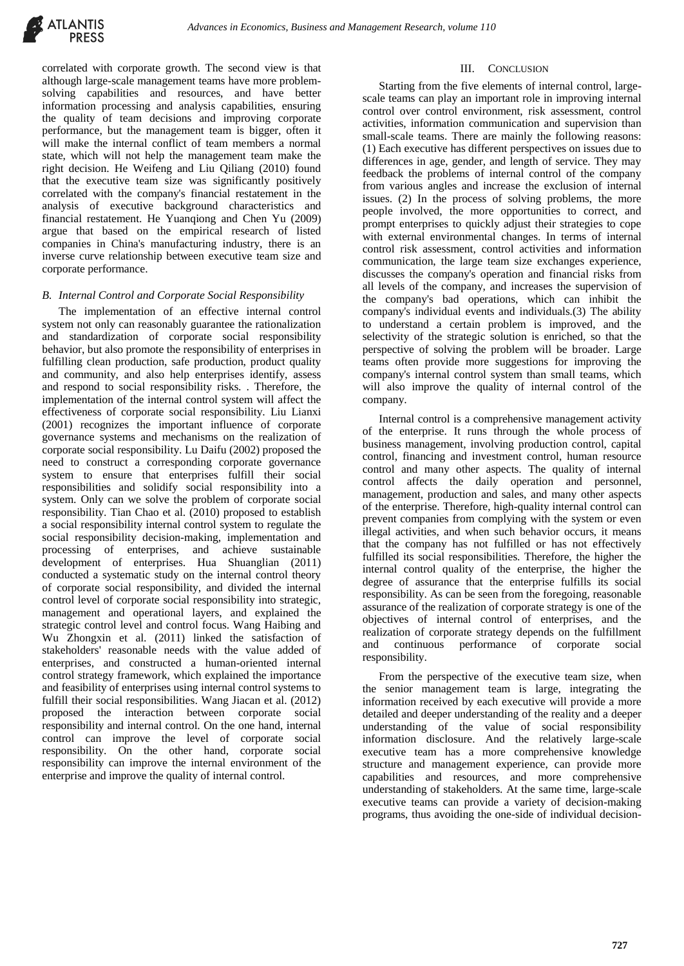

correlated with corporate growth. The second view is that although large-scale management teams have more problemsolving capabilities and resources, and have better information processing and analysis capabilities, ensuring the quality of team decisions and improving corporate performance, but the management team is bigger, often it will make the internal conflict of team members a normal state, which will not help the management team make the right decision. He Weifeng and Liu Qiliang (2010) found that the executive team size was significantly positively correlated with the company's financial restatement in the analysis of executive background characteristics and financial restatement. He Yuanqiong and Chen Yu (2009) argue that based on the empirical research of listed companies in China's manufacturing industry, there is an inverse curve relationship between executive team size and corporate performance.

## *B. Internal Control and Corporate Social Responsibility*

The implementation of an effective internal control system not only can reasonably guarantee the rationalization and standardization of corporate social responsibility behavior, but also promote the responsibility of enterprises in fulfilling clean production, safe production, product quality and community, and also help enterprises identify, assess and respond to social responsibility risks. . Therefore, the implementation of the internal control system will affect the effectiveness of corporate social responsibility. Liu Lianxi (2001) recognizes the important influence of corporate governance systems and mechanisms on the realization of corporate social responsibility. Lu Daifu (2002) proposed the need to construct a corresponding corporate governance system to ensure that enterprises fulfill their social responsibilities and solidify social responsibility into a system. Only can we solve the problem of corporate social responsibility. Tian Chao et al. (2010) proposed to establish a social responsibility internal control system to regulate the social responsibility decision-making, implementation and processing of enterprises, and achieve sustainable development of enterprises. Hua Shuanglian (2011) conducted a systematic study on the internal control theory of corporate social responsibility, and divided the internal control level of corporate social responsibility into strategic, management and operational layers, and explained the strategic control level and control focus. Wang Haibing and Wu Zhongxin et al. (2011) linked the satisfaction of stakeholders' reasonable needs with the value added of enterprises, and constructed a human-oriented internal control strategy framework, which explained the importance and feasibility of enterprises using internal control systems to fulfill their social responsibilities. Wang Jiacan et al. (2012) proposed the interaction between corporate social responsibility and internal control. On the one hand, internal control can improve the level of corporate social responsibility. On the other hand, corporate social responsibility can improve the internal environment of the enterprise and improve the quality of internal control.

## III. CONCLUSION

Starting from the five elements of internal control, largescale teams can play an important role in improving internal control over control environment, risk assessment, control activities, information communication and supervision than small-scale teams. There are mainly the following reasons: (1) Each executive has different perspectives on issues due to differences in age, gender, and length of service. They may feedback the problems of internal control of the company from various angles and increase the exclusion of internal issues. (2) In the process of solving problems, the more people involved, the more opportunities to correct, and prompt enterprises to quickly adjust their strategies to cope with external environmental changes. In terms of internal control risk assessment, control activities and information communication, the large team size exchanges experience, discusses the company's operation and financial risks from all levels of the company, and increases the supervision of the company's bad operations, which can inhibit the company's individual events and individuals.(3) The ability to understand a certain problem is improved, and the selectivity of the strategic solution is enriched, so that the perspective of solving the problem will be broader. Large teams often provide more suggestions for improving the company's internal control system than small teams, which will also improve the quality of internal control of the company.

Internal control is a comprehensive management activity of the enterprise. It runs through the whole process of business management, involving production control, capital control, financing and investment control, human resource control and many other aspects. The quality of internal control affects the daily operation and personnel, management, production and sales, and many other aspects of the enterprise. Therefore, high-quality internal control can prevent companies from complying with the system or even illegal activities, and when such behavior occurs, it means that the company has not fulfilled or has not effectively fulfilled its social responsibilities. Therefore, the higher the internal control quality of the enterprise, the higher the degree of assurance that the enterprise fulfills its social responsibility. As can be seen from the foregoing, reasonable assurance of the realization of corporate strategy is one of the objectives of internal control of enterprises, and the realization of corporate strategy depends on the fulfillment and continuous performance of corporate social responsibility.

From the perspective of the executive team size, when the senior management team is large, integrating the information received by each executive will provide a more detailed and deeper understanding of the reality and a deeper understanding of the value of social responsibility information disclosure. And the relatively large-scale executive team has a more comprehensive knowledge structure and management experience, can provide more capabilities and resources, and more comprehensive understanding of stakeholders. At the same time, large-scale executive teams can provide a variety of decision-making programs, thus avoiding the one-side of individual decision-